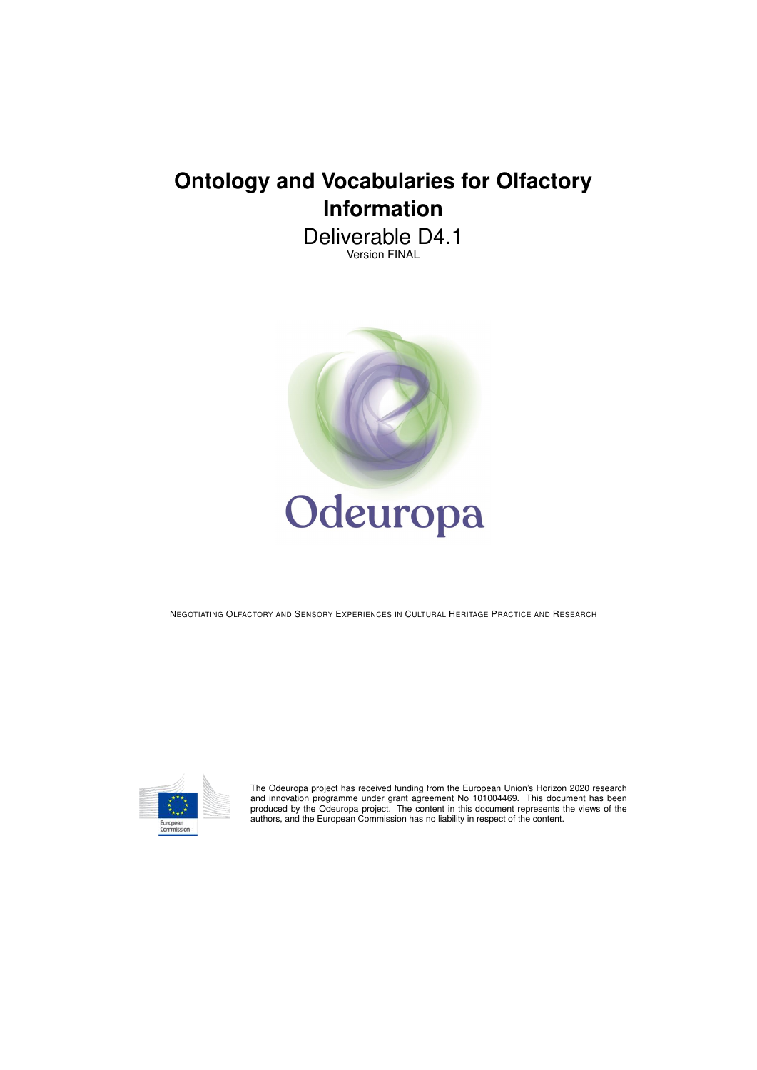# **Ontology and Vocabularies for Olfactory Information**

Deliverable D4.1 Version FINAL



NEGOTIATING OLFACTORY AND SENSORY EXPERIENCES IN CULTURAL HERITAGE PRACTICE AND RESEARCH



The Odeuropa project has received funding from the European Union's Horizon 2020 research<br>and innovation programme under grant agreement No 101004469. This document has been<br>produced by the Odeuropa project. The content in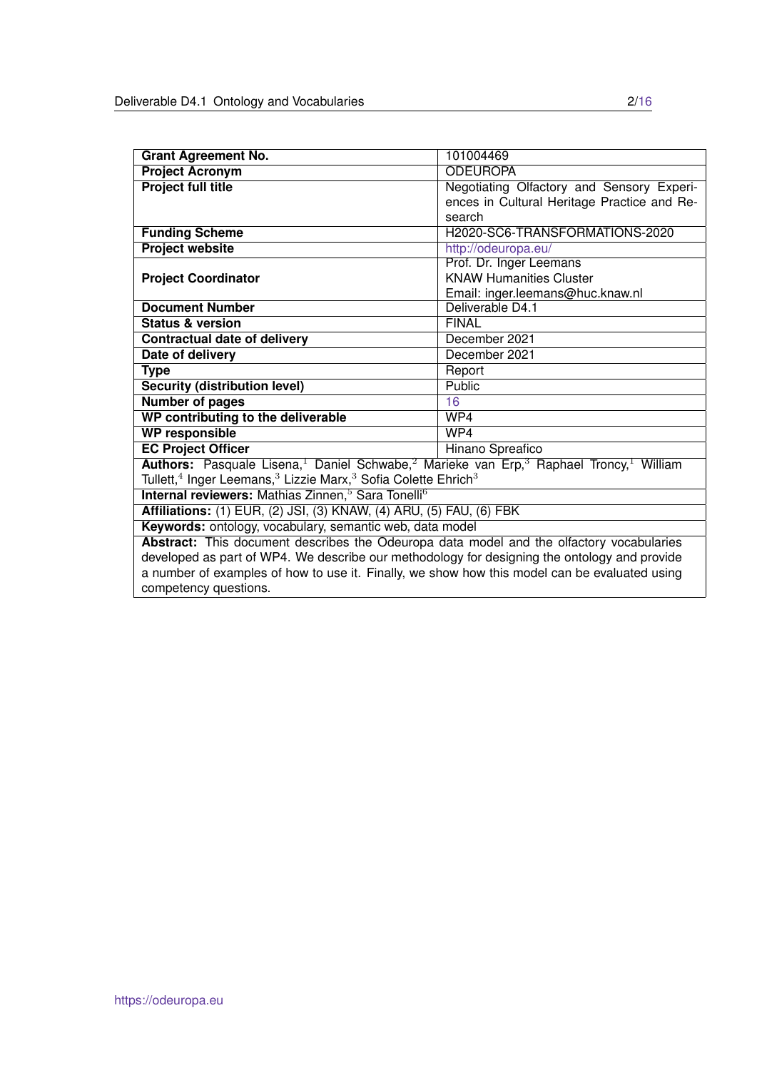| <b>Grant Agreement No.</b>                                                                                                             | 101004469                                   |  |  |  |
|----------------------------------------------------------------------------------------------------------------------------------------|---------------------------------------------|--|--|--|
| <b>Project Acronym</b>                                                                                                                 | <b>ODEUROPA</b>                             |  |  |  |
| <b>Project full title</b>                                                                                                              | Negotiating Olfactory and Sensory Experi-   |  |  |  |
|                                                                                                                                        | ences in Cultural Heritage Practice and Re- |  |  |  |
|                                                                                                                                        | search                                      |  |  |  |
| <b>Funding Scheme</b>                                                                                                                  | H2020-SC6-TRANSFORMATIONS-2020              |  |  |  |
| <b>Project website</b>                                                                                                                 | http://odeuropa.eu/                         |  |  |  |
|                                                                                                                                        | Prof. Dr. Inger Leemans                     |  |  |  |
| <b>Project Coordinator</b>                                                                                                             | <b>KNAW Humanities Cluster</b>              |  |  |  |
|                                                                                                                                        | Email: inger.leemans@huc.knaw.nl            |  |  |  |
| <b>Document Number</b>                                                                                                                 | Deliverable D4.1                            |  |  |  |
| <b>Status &amp; version</b>                                                                                                            | <b>FINAL</b>                                |  |  |  |
| <b>Contractual date of delivery</b>                                                                                                    | December 2021                               |  |  |  |
| Date of delivery                                                                                                                       | December 2021                               |  |  |  |
| <b>Type</b>                                                                                                                            | Report                                      |  |  |  |
| <b>Security (distribution level)</b>                                                                                                   | <b>Public</b>                               |  |  |  |
| <b>Number of pages</b>                                                                                                                 | 16                                          |  |  |  |
| WP contributing to the deliverable<br>WP4                                                                                              |                                             |  |  |  |
| <b>WP responsible</b>                                                                                                                  | WP4                                         |  |  |  |
| <b>EC Project Officer</b>                                                                                                              | Hinano Spreafico                            |  |  |  |
| Authors: Pasquale Lisena, <sup>1</sup> Daniel Schwabe, <sup>2</sup> Marieke van Erp, <sup>3</sup> Raphael Troncy, <sup>1</sup> William |                                             |  |  |  |
| Tullett, <sup>4</sup> Inger Leemans, <sup>3</sup> Lizzie Marx, <sup>3</sup> Sofia Colette Ehrich <sup>3</sup>                          |                                             |  |  |  |
| Internal reviewers: Mathias Zinnen, <sup>5</sup> Sara Tonelli <sup>6</sup>                                                             |                                             |  |  |  |
| Affiliations: (1) EUR, (2) JSI, (3) KNAW, (4) ARU, (5) FAU, (6) FBK                                                                    |                                             |  |  |  |
| Keywords: ontology, vocabulary, semantic web, data model                                                                               |                                             |  |  |  |
| Abstract: This document describes the Odeuropa data model and the olfactory vocabularies                                               |                                             |  |  |  |
| developed as part of WP4. We describe our methodology for designing the ontology and provide                                           |                                             |  |  |  |
| a number of examples of how to use it. Finally, we show how this model can be evaluated using                                          |                                             |  |  |  |
| competency questions.                                                                                                                  |                                             |  |  |  |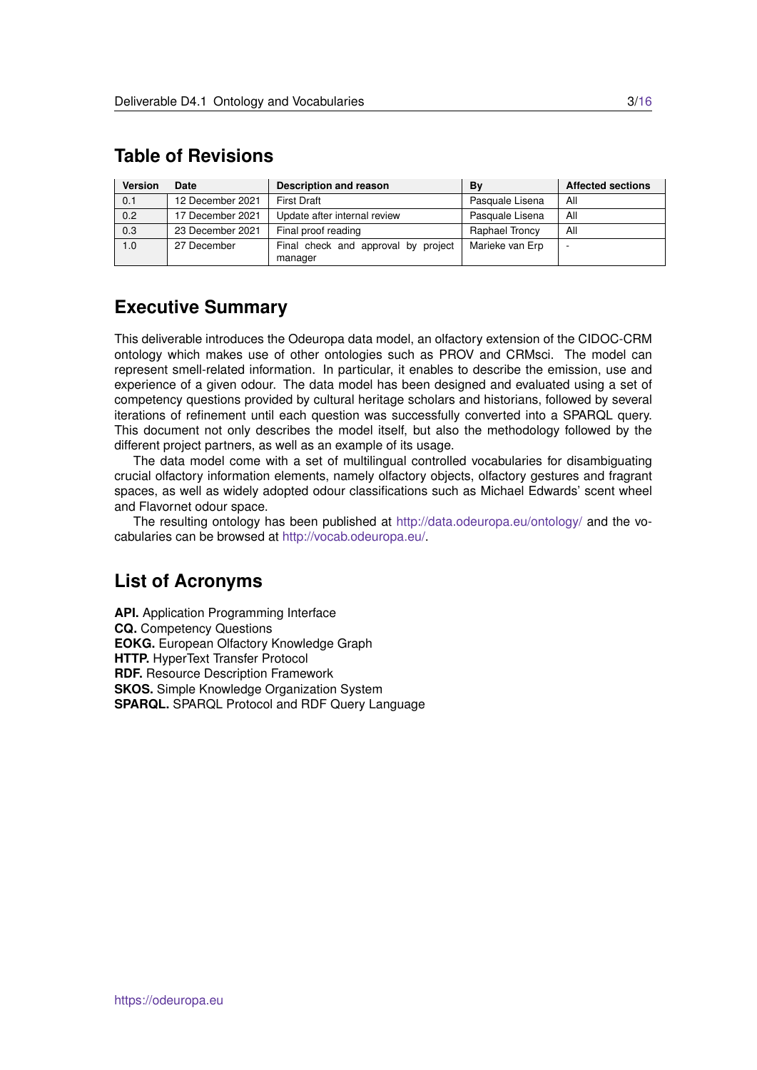# <span id="page-2-0"></span>**Table of Revisions**

| <b>Version</b> | Date             | Description and reason<br>Bv                   |                 | <b>Affected sections</b> |
|----------------|------------------|------------------------------------------------|-----------------|--------------------------|
| 0.1            | 12 December 2021 | <b>First Draft</b>                             | Pasquale Lisena | All                      |
| 0.2            | 17 December 2021 | Update after internal review                   | Pasquale Lisena | All                      |
| 0.3            | 23 December 2021 | Final proof reading                            | Raphael Troncy  | All                      |
| 1.0            | 27 December      | Final check and approval by project<br>manager | Marieke van Erp |                          |

# **Executive Summary**

This deliverable introduces the Odeuropa data model, an olfactory extension of the CIDOC-CRM ontology which makes use of other ontologies such as PROV and CRMsci. The model can represent smell-related information. In particular, it enables to describe the emission, use and experience of a given odour. The data model has been designed and evaluated using a set of competency questions provided by cultural heritage scholars and historians, followed by several iterations of refinement until each question was successfully converted into a SPARQL query. This document not only describes the model itself, but also the methodology followed by the different project partners, as well as an example of its usage.

The data model come with a set of multilingual controlled vocabularies for disambiguating crucial olfactory information elements, namely olfactory objects, olfactory gestures and fragrant spaces, as well as widely adopted odour classifications such as Michael Edwards' scent wheel and Flavornet odour space.

The resulting ontology has been published at <http://data.odeuropa.eu/ontology/> and the vocabularies can be browsed at [http://vocab.odeuropa.eu/.](http://vocab.odeuropa.eu/)

# **List of Acronyms**

**API.** Application Programming Interface **CQ.** Competency Questions **EOKG.** European Olfactory Knowledge Graph **HTTP.** HyperText Transfer Protocol **RDF.** Resource Description Framework **SKOS.** Simple Knowledge Organization System **SPARQL.** SPARQL Protocol and RDF Query Language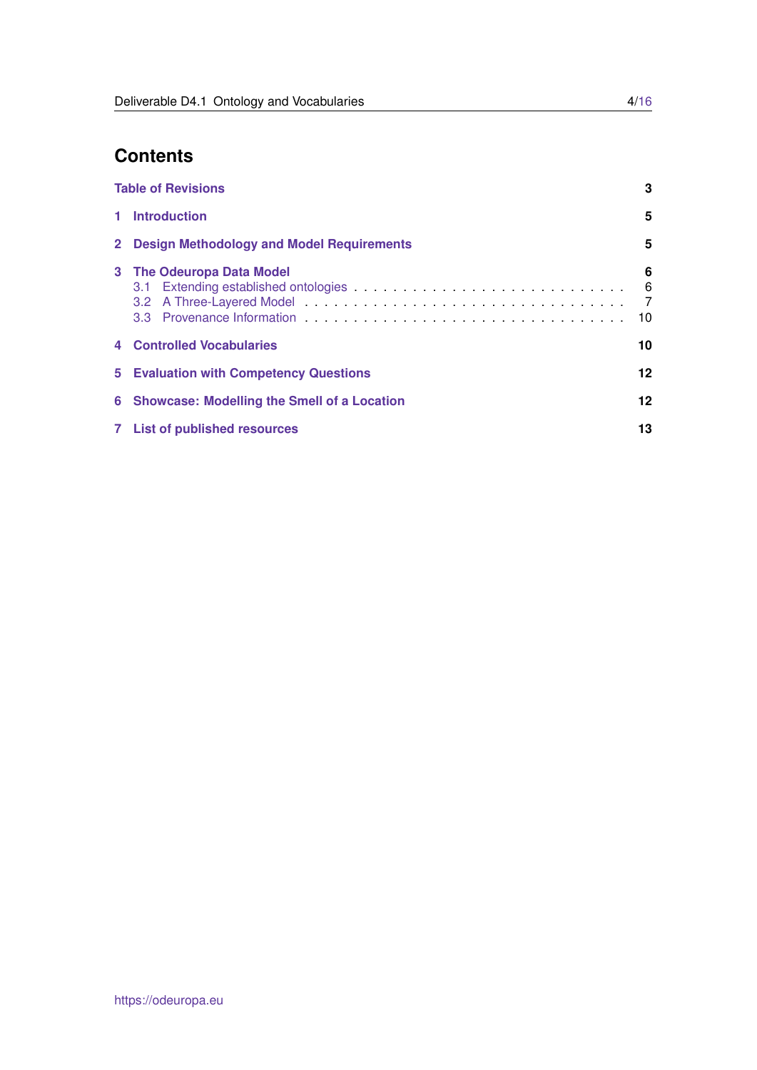# **Contents**

| <b>Table of Revisions</b>                     | 3                                            |
|-----------------------------------------------|----------------------------------------------|
| 1 Introduction                                | 5                                            |
| 2 Design Methodology and Model Requirements   | 5                                            |
| 3 The Odeuropa Data Model                     | 6<br>$6\overline{6}$<br>$\overline{7}$<br>10 |
| <b>4</b> Controlled Vocabularies              | 10                                           |
| <b>5</b> Evaluation with Competency Questions | 12                                           |
| 6 Showcase: Modelling the Smell of a Location | 12                                           |
| 7 List of published resources                 | 13                                           |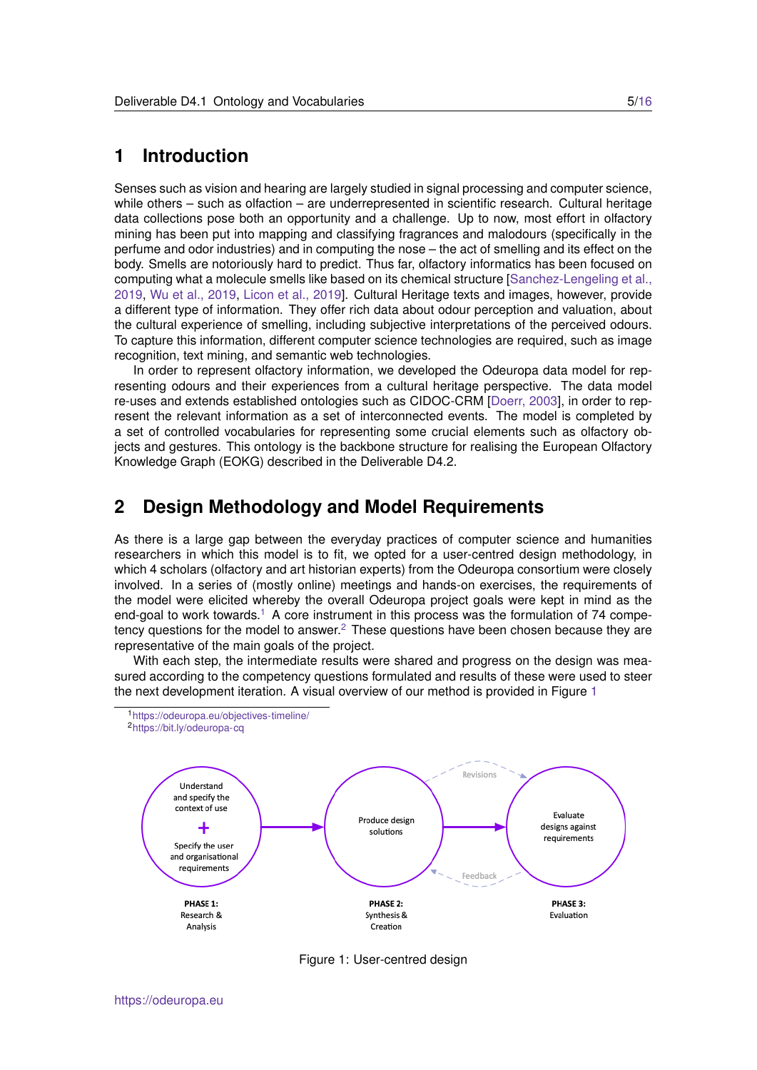### <span id="page-4-0"></span>**1 Introduction**

Senses such as vision and hearing are largely studied in signal processing and computer science, while others – such as olfaction – are underrepresented in scientific research. Cultural heritage data collections pose both an opportunity and a challenge. Up to now, most effort in olfactory mining has been put into mapping and classifying fragrances and malodours (specifically in the perfume and odor industries) and in computing the nose – the act of smelling and its effect on the body. Smells are notoriously hard to predict. Thus far, olfactory informatics has been focused on computing what a molecule smells like based on its chemical structure [\[Sanchez-Lengeling et al.,](#page-15-1) [2019,](#page-15-1) [Wu et al., 2019,](#page-15-2) [Licon et al., 2019\]](#page-15-3). Cultural Heritage texts and images, however, provide a different type of information. They offer rich data about odour perception and valuation, about the cultural experience of smelling, including subjective interpretations of the perceived odours. To capture this information, different computer science technologies are required, such as image recognition, text mining, and semantic web technologies.

In order to represent olfactory information, we developed the Odeuropa data model for representing odours and their experiences from a cultural heritage perspective. The data model re-uses and extends established ontologies such as CIDOC-CRM [\[Doerr, 2003\]](#page-14-0), in order to represent the relevant information as a set of interconnected events. The model is completed by a set of controlled vocabularies for representing some crucial elements such as olfactory objects and gestures. This ontology is the backbone structure for realising the European Olfactory Knowledge Graph (EOKG) described in the Deliverable D4.2.

# <span id="page-4-1"></span>**2 Design Methodology and Model Requirements**

As there is a large gap between the everyday practices of computer science and humanities researchers in which this model is to fit, we opted for a user-centred design methodology, in which 4 scholars (olfactory and art historian experts) from the Odeuropa consortium were closely involved. In a series of (mostly online) meetings and hands-on exercises, the requirements of the model were elicited whereby the overall Odeuropa project goals were kept in mind as the end-goal to work towards.<sup>[1](#page-4-2)</sup> A core instrument in this process was the formulation of 74 competency questions for the model to answer. $<sup>2</sup>$  $<sup>2</sup>$  $<sup>2</sup>$  These questions have been chosen because they are</sup> representative of the main goals of the project.

With each step, the intermediate results were shared and progress on the design was measured according to the competency questions formulated and results of these were used to steer the next development iteration. A visual overview of our method is provided in Figure [1](#page-4-4)

<span id="page-4-3"></span><span id="page-4-2"></span>

<span id="page-4-4"></span>Figure 1: User-centred design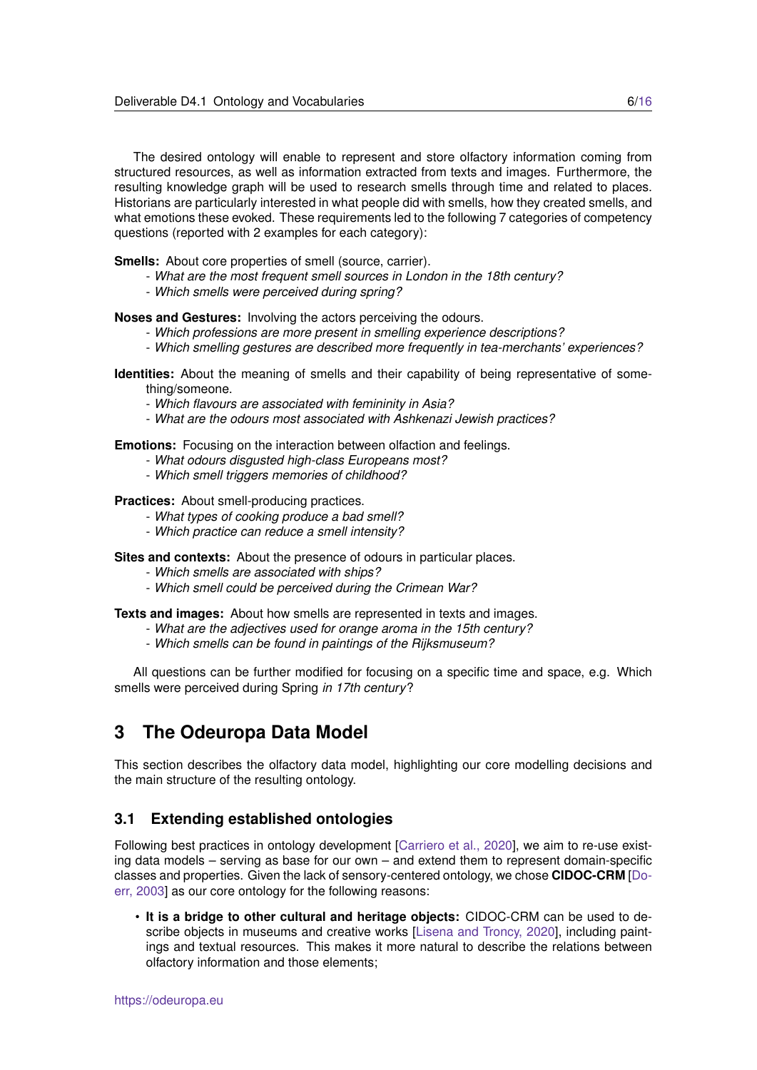The desired ontology will enable to represent and store olfactory information coming from structured resources, as well as information extracted from texts and images. Furthermore, the resulting knowledge graph will be used to research smells through time and related to places. Historians are particularly interested in what people did with smells, how they created smells, and what emotions these evoked. These requirements led to the following 7 categories of competency questions (reported with 2 examples for each category):

**Smells:** About core properties of smell (source, carrier).

- *What are the most frequent smell sources in London in the 18th century?*
- *Which smells were perceived during spring?*

**Noses and Gestures:** Involving the actors perceiving the odours.

- *Which professions are more present in smelling experience descriptions?*
- *Which smelling gestures are described more frequently in tea-merchants' experiences?*
- **Identities:** About the meaning of smells and their capability of being representative of something/someone.
	- *Which flavours are associated with femininity in Asia?*
	- *What are the odours most associated with Ashkenazi Jewish practices?*

**Emotions:** Focusing on the interaction between olfaction and feelings.

- *What odours disgusted high-class Europeans most?*
- *Which smell triggers memories of childhood?*

**Practices:** About smell-producing practices.

- *What types of cooking produce a bad smell?*
- *Which practice can reduce a smell intensity?*

**Sites and contexts:** About the presence of odours in particular places.

- *Which smells are associated with ships?*
- *Which smell could be perceived during the Crimean War?*

**Texts and images:** About how smells are represented in texts and images.

- *What are the adjectives used for orange aroma in the 15th century?*
- *Which smells can be found in paintings of the Rijksmuseum?*

All questions can be further modified for focusing on a specific time and space, e.g. Which smells were perceived during Spring *in 17th century*?

### <span id="page-5-0"></span>**3 The Odeuropa Data Model**

This section describes the olfactory data model, highlighting our core modelling decisions and the main structure of the resulting ontology.

#### <span id="page-5-1"></span>**3.1 Extending established ontologies**

Following best practices in ontology development [\[Carriero et al., 2020\]](#page-14-1), we aim to re-use existing data models – serving as base for our own – and extend them to represent domain-specific classes and properties. Given the lack of sensory-centered ontology, we chose **CIDOC-CRM** [\[Do](#page-14-0)[err, 2003\]](#page-14-0) as our core ontology for the following reasons:

• **It is a bridge to other cultural and heritage objects:** CIDOC-CRM can be used to describe objects in museums and creative works [\[Lisena and Troncy, 2020\]](#page-15-4), including paintings and textual resources. This makes it more natural to describe the relations between olfactory information and those elements;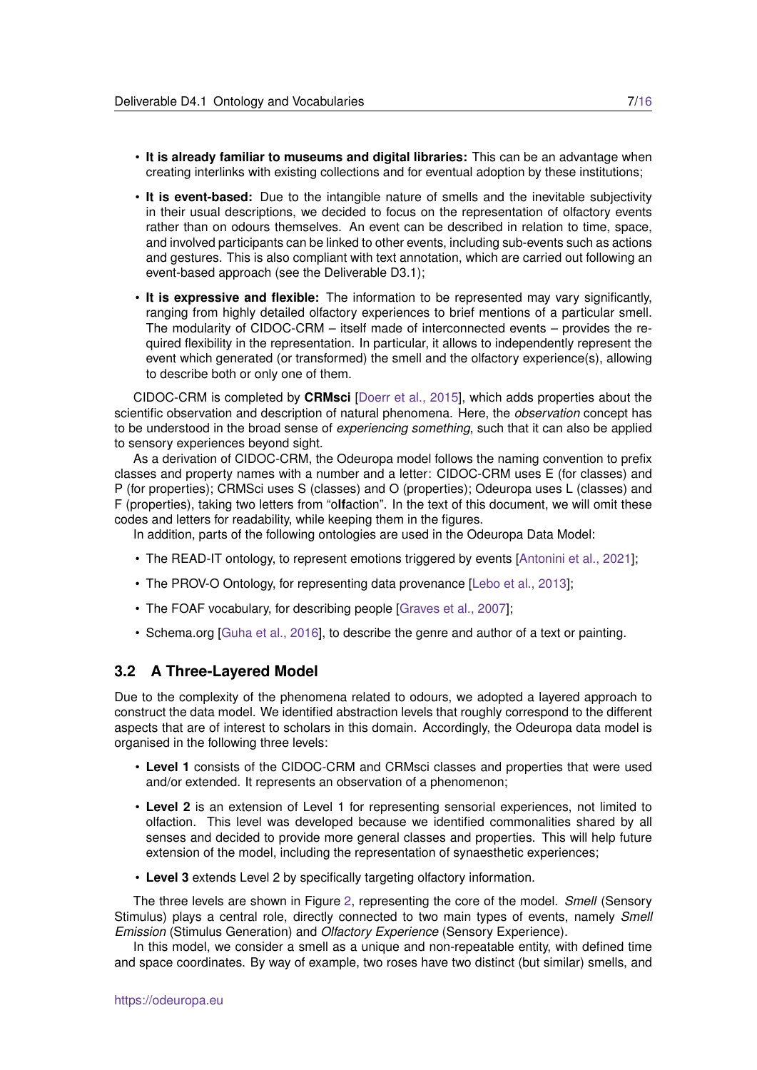- **It is already familiar to museums and digital libraries:** This can be an advantage when creating interlinks with existing collections and for eventual adoption by these institutions;
- **It is event-based:** Due to the intangible nature of smells and the inevitable subjectivity in their usual descriptions, we decided to focus on the representation of olfactory events rather than on odours themselves. An event can be described in relation to time, space, and involved participants can be linked to other events, including sub-events such as actions and gestures. This is also compliant with text annotation, which are carried out following an event-based approach (see the Deliverable D3.1);
- **It is expressive and flexible:** The information to be represented may vary significantly, ranging from highly detailed olfactory experiences to brief mentions of a particular smell. The modularity of CIDOC-CRM – itself made of interconnected events – provides the required flexibility in the representation. In particular, it allows to independently represent the event which generated (or transformed) the smell and the olfactory experience(s), allowing to describe both or only one of them.

CIDOC-CRM is completed by **CRMsci** [\[Doerr et al., 2015\]](#page-14-2), which adds properties about the scientific observation and description of natural phenomena. Here, the *observation* concept has to be understood in the broad sense of *experiencing something*, such that it can also be applied to sensory experiences beyond sight.

As a derivation of CIDOC-CRM, the Odeuropa model follows the naming convention to prefix classes and property names with a number and a letter: CIDOC-CRM uses E (for classes) and P (for properties); CRMSci uses S (classes) and O (properties); Odeuropa uses L (classes) and F (properties), taking two letters from "o**lf**action". In the text of this document, we will omit these codes and letters for readability, while keeping them in the figures.

In addition, parts of the following ontologies are used in the Odeuropa Data Model:

- The READ-IT ontology, to represent emotions triggered by events [\[Antonini et al., 2021\]](#page-14-3);
- The PROV-O Ontology, for representing data provenance [\[Lebo et al., 2013\]](#page-14-4);
- The FOAF vocabulary, for describing people [\[Graves et al., 2007\]](#page-14-5);
- Schema.org [\[Guha et al., 2016\]](#page-14-6), to describe the genre and author of a text or painting.

#### <span id="page-6-0"></span>**3.2 A Three-Layered Model**

Due to the complexity of the phenomena related to odours, we adopted a layered approach to construct the data model. We identified abstraction levels that roughly correspond to the different aspects that are of interest to scholars in this domain. Accordingly, the Odeuropa data model is organised in the following three levels:

- **Level 1** consists of the CIDOC-CRM and CRMsci classes and properties that were used and/or extended. It represents an observation of a phenomenon;
- **Level 2** is an extension of Level 1 for representing sensorial experiences, not limited to olfaction. This level was developed because we identified commonalities shared by all senses and decided to provide more general classes and properties. This will help future extension of the model, including the representation of synaesthetic experiences;
- **Level 3** extends Level 2 by specifically targeting olfactory information.

The three levels are shown in Figure [2,](#page-7-0) representing the core of the model. *Smell* (Sensory Stimulus) plays a central role, directly connected to two main types of events, namely *Smell Emission* (Stimulus Generation) and *Olfactory Experience* (Sensory Experience).

In this model, we consider a smell as a unique and non-repeatable entity, with defined time and space coordinates. By way of example, two roses have two distinct (but similar) smells, and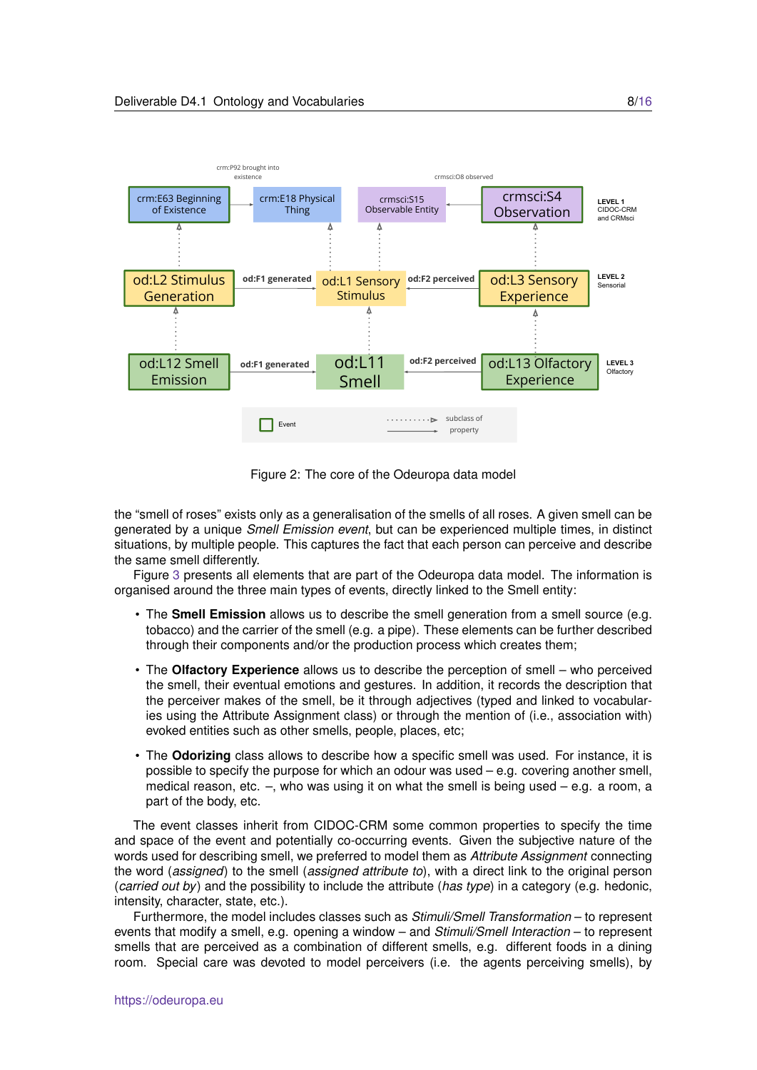

<span id="page-7-0"></span>Figure 2: The core of the Odeuropa data model

the "smell of roses" exists only as a generalisation of the smells of all roses. A given smell can be generated by a unique *Smell Emission event*, but can be experienced multiple times, in distinct situations, by multiple people. This captures the fact that each person can perceive and describe the same smell differently.

Figure [3](#page-8-0) presents all elements that are part of the Odeuropa data model. The information is organised around the three main types of events, directly linked to the Smell entity:

- The **Smell Emission** allows us to describe the smell generation from a smell source (e.g. tobacco) and the carrier of the smell (e.g. a pipe). These elements can be further described through their components and/or the production process which creates them;
- The **Olfactory Experience** allows us to describe the perception of smell who perceived the smell, their eventual emotions and gestures. In addition, it records the description that the perceiver makes of the smell, be it through adjectives (typed and linked to vocabularies using the Attribute Assignment class) or through the mention of (i.e., association with) evoked entities such as other smells, people, places, etc;
- The **Odorizing** class allows to describe how a specific smell was used. For instance, it is possible to specify the purpose for which an odour was used – e.g. covering another smell, medical reason, etc.  $-$ , who was using it on what the smell is being used  $-$  e.g. a room, a part of the body, etc.

The event classes inherit from CIDOC-CRM some common properties to specify the time and space of the event and potentially co-occurring events. Given the subjective nature of the words used for describing smell, we preferred to model them as *Attribute Assignment* connecting the word (*assigned*) to the smell (*assigned attribute to*), with a direct link to the original person (*carried out by*) and the possibility to include the attribute (*has type*) in a category (e.g. hedonic, intensity, character, state, etc.).

Furthermore, the model includes classes such as *Stimuli/Smell Transformation* – to represent events that modify a smell, e.g. opening a window – and *Stimuli/Smell Interaction* – to represent smells that are perceived as a combination of different smells, e.g. different foods in a dining room. Special care was devoted to model perceivers (i.e. the agents perceiving smells), by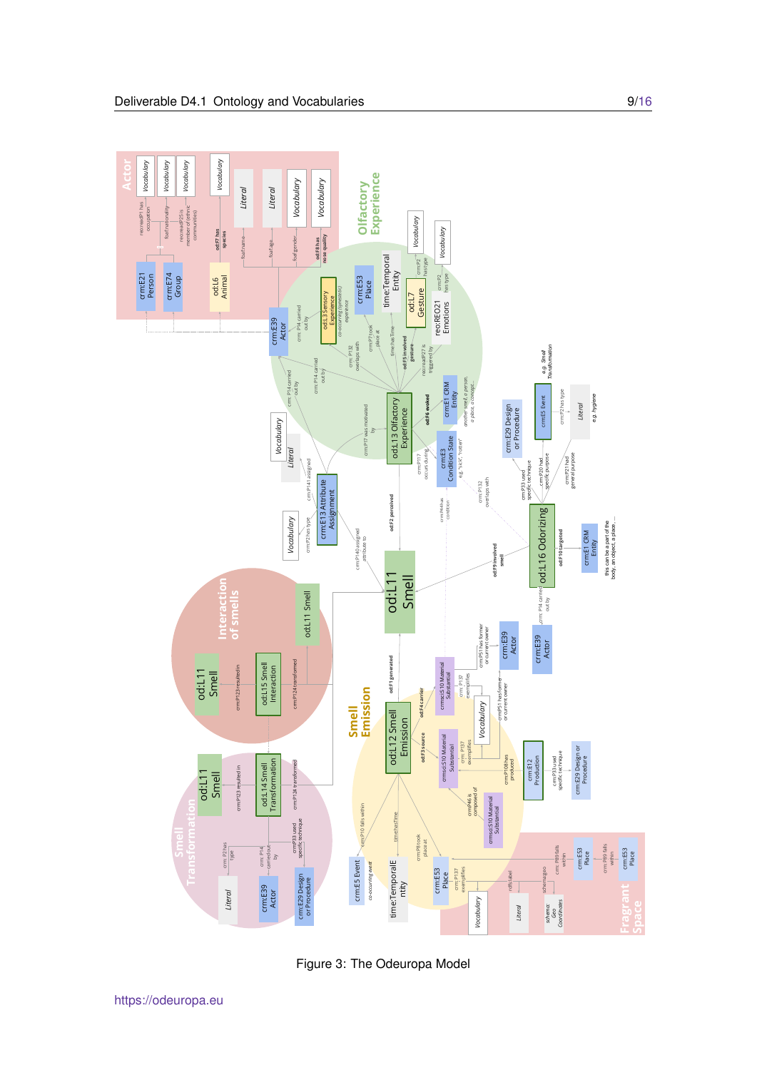

<span id="page-8-0"></span>Figure 3: The Odeuropa Model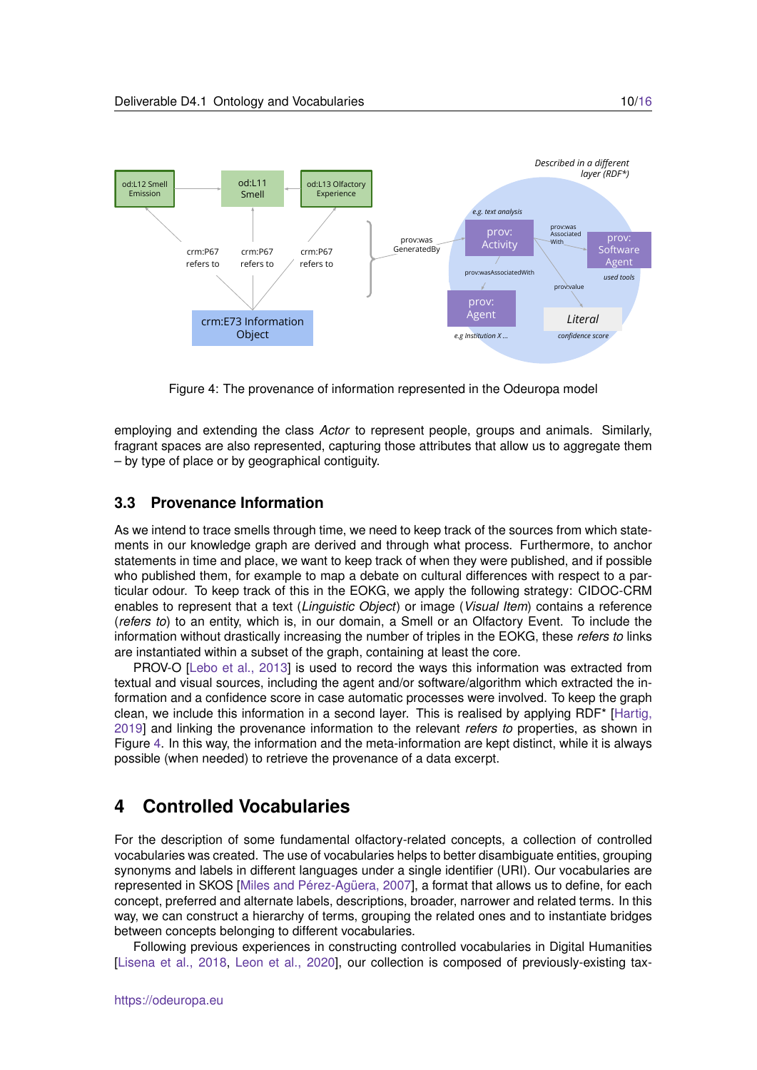

<span id="page-9-2"></span>Figure 4: The provenance of information represented in the Odeuropa model

employing and extending the class *Actor* to represent people, groups and animals. Similarly, fragrant spaces are also represented, capturing those attributes that allow us to aggregate them – by type of place or by geographical contiguity.

#### <span id="page-9-0"></span>**3.3 Provenance Information**

As we intend to trace smells through time, we need to keep track of the sources from which statements in our knowledge graph are derived and through what process. Furthermore, to anchor statements in time and place, we want to keep track of when they were published, and if possible who published them, for example to map a debate on cultural differences with respect to a particular odour. To keep track of this in the EOKG, we apply the following strategy: CIDOC-CRM enables to represent that a text (*Linguistic Object*) or image (*Visual Item*) contains a reference (*refers to*) to an entity, which is, in our domain, a Smell or an Olfactory Event. To include the information without drastically increasing the number of triples in the EOKG, these *refers to* links are instantiated within a subset of the graph, containing at least the core.

PROV-O [\[Lebo et al., 2013\]](#page-14-4) is used to record the ways this information was extracted from textual and visual sources, including the agent and/or software/algorithm which extracted the information and a confidence score in case automatic processes were involved. To keep the graph clean, we include this information in a second layer. This is realised by applying RDF\* [\[Hartig,](#page-14-7) [2019\]](#page-14-7) and linking the provenance information to the relevant *refers to* properties, as shown in Figure [4.](#page-9-2) In this way, the information and the meta-information are kept distinct, while it is always possible (when needed) to retrieve the provenance of a data excerpt.

### <span id="page-9-1"></span>**4 Controlled Vocabularies**

For the description of some fundamental olfactory-related concepts, a collection of controlled vocabularies was created. The use of vocabularies helps to better disambiguate entities, grouping synonyms and labels in different languages under a single identifier (URI). Our vocabularies are represented in SKOS [Miles and Pérez-Agüera, 2007], a format that allows us to define, for each concept, preferred and alternate labels, descriptions, broader, narrower and related terms. In this way, we can construct a hierarchy of terms, grouping the related ones and to instantiate bridges between concepts belonging to different vocabularies.

Following previous experiences in constructing controlled vocabularies in Digital Humanities [\[Lisena et al., 2018,](#page-15-6) [Leon et al., 2020\]](#page-15-7), our collection is composed of previously-existing tax-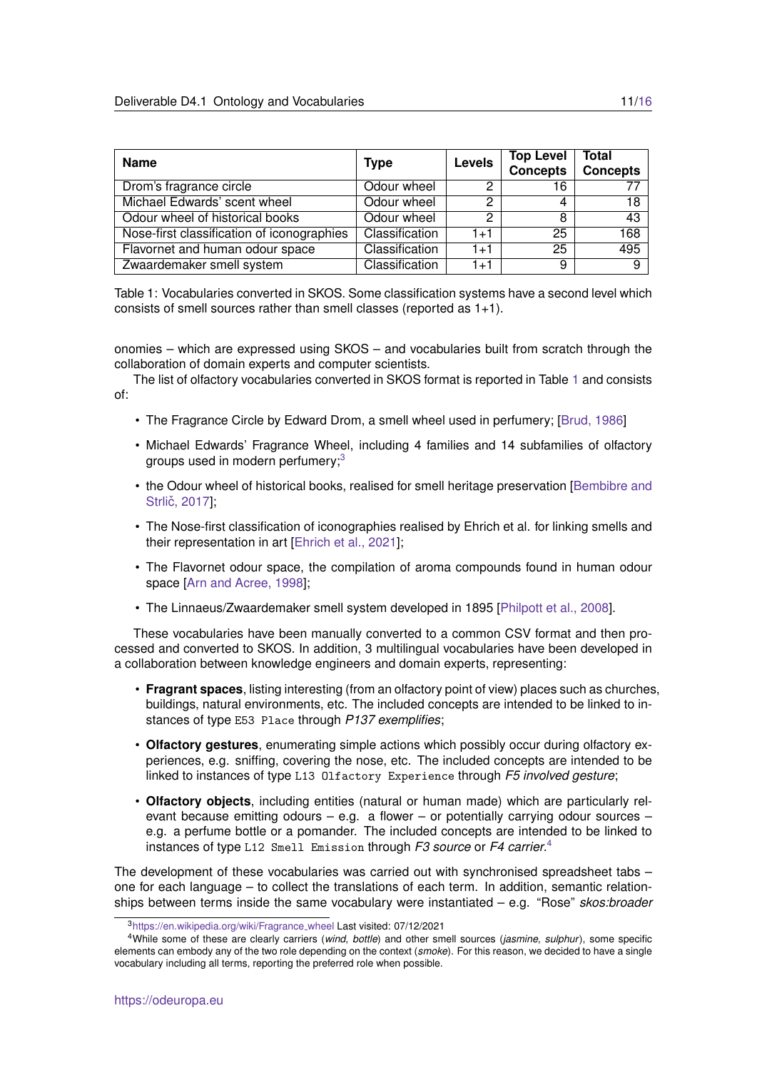| <b>Name</b>                                | <b>Type</b>    | <b>Levels</b> | <b>Top Level</b><br><b>Concepts</b> | Total<br><b>Concepts</b> |
|--------------------------------------------|----------------|---------------|-------------------------------------|--------------------------|
| Drom's fragrance circle                    | Odour wheel    | 2             | 16                                  | 77                       |
| Michael Edwards' scent wheel               | Odour wheel    | 2             | 4                                   | 18                       |
| Odour wheel of historical books            | Odour wheel    | 2             | 8                                   | 43                       |
| Nose-first classification of iconographies | Classification | $1 + 1$       | 25                                  | 168                      |
| Flavornet and human odour space            | Classification | $1 + 1$       | 25                                  | 495                      |
| Zwaardemaker smell system                  | Classification | $1 + 1$       | 9                                   | 9                        |

<span id="page-10-0"></span>Table 1: Vocabularies converted in SKOS. Some classification systems have a second level which consists of smell sources rather than smell classes (reported as 1+1).

onomies – which are expressed using SKOS – and vocabularies built from scratch through the collaboration of domain experts and computer scientists.

The list of olfactory vocabularies converted in SKOS format is reported in Table [1](#page-10-0) and consists of:

- The Fragrance Circle by Edward Drom, a smell wheel used in perfumery; [\[Brud, 1986\]](#page-14-8)
- Michael Edwards' Fragrance Wheel, including 4 families and 14 subfamilies of olfactory groups used in modern perfumery;[3](#page-10-1)
- the Odour wheel of historical books, realised for smell heritage preservation [\[Bembibre and](#page-14-9) Strlič, 2017];
- The Nose-first classification of iconographies realised by Ehrich et al. for linking smells and their representation in art [\[Ehrich et al., 2021\]](#page-14-10);
- The Flavornet odour space, the compilation of aroma compounds found in human odour space [\[Arn and Acree, 1998\]](#page-14-11);
- The Linnaeus/Zwaardemaker smell system developed in 1895 [\[Philpott et al., 2008\]](#page-15-8).

These vocabularies have been manually converted to a common CSV format and then processed and converted to SKOS. In addition, 3 multilingual vocabularies have been developed in a collaboration between knowledge engineers and domain experts, representing:

- **Fragrant spaces**, listing interesting (from an olfactory point of view) places such as churches, buildings, natural environments, etc. The included concepts are intended to be linked to instances of type E53 Place through *P137 exemplifies*;
- **Olfactory gestures**, enumerating simple actions which possibly occur during olfactory experiences, e.g. sniffing, covering the nose, etc. The included concepts are intended to be linked to instances of type L13 Olfactory Experience through *F5 involved gesture*;
- **Olfactory objects**, including entities (natural or human made) which are particularly relevant because emitting odours  $-$  e.g. a flower  $-$  or potentially carrying odour sources  $$ e.g. a perfume bottle or a pomander. The included concepts are intended to be linked to instances of type L12 Smell Emission through *F3 source* or *F4 carrier*. [4](#page-10-2)

The development of these vocabularies was carried out with synchronised spreadsheet tabs – one for each language – to collect the translations of each term. In addition, semantic relationships between terms inside the same vocabulary were instantiated – e.g. "Rose" *skos:broader*

<span id="page-10-2"></span><span id="page-10-1"></span><sup>3</sup>[https://en.wikipedia.org/wiki/Fragrance](https://en.wikipedia.org/wiki/Fragrance_wheel) wheel Last visited: 07/12/2021

<sup>4</sup>While some of these are clearly carriers (*wind*, *bottle*) and other smell sources (*jasmine*, *sulphur*), some specific elements can embody any of the two role depending on the context (*smoke*). For this reason, we decided to have a single vocabulary including all terms, reporting the preferred role when possible.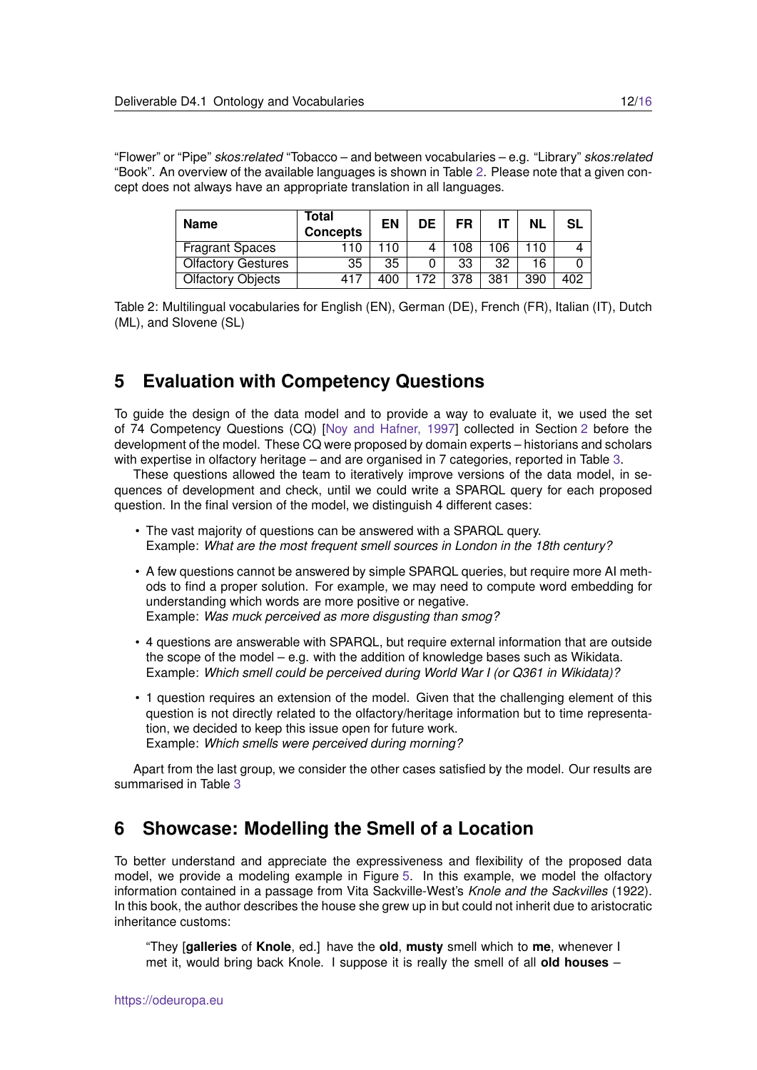"Flower" or "Pipe" *skos:related* "Tobacco – and between vocabularies – e.g. "Library" *skos:related* "Book". An overview of the available languages is shown in Table [2.](#page-11-2) Please note that a given concept does not always have an appropriate translation in all languages.

| <b>Name</b>               | Total<br><b>Concepts</b> | <b>EN</b> | DE. | FR  |     | <b>NL</b> | SL  |
|---------------------------|--------------------------|-----------|-----|-----|-----|-----------|-----|
| <b>Fragrant Spaces</b>    | 110                      | 110       |     | 108 | 106 | 110       | 4   |
| <b>Olfactory Gestures</b> | 35                       | 35        |     | 33  | 32  | 16        |     |
| <b>Olfactory Objects</b>  | 417                      | 400       | 72  | 378 | 381 | 390       | 402 |

<span id="page-11-2"></span>Table 2: Multilingual vocabularies for English (EN), German (DE), French (FR), Italian (IT), Dutch (ML), and Slovene (SL)

### <span id="page-11-0"></span>**5 Evaluation with Competency Questions**

To guide the design of the data model and to provide a way to evaluate it, we used the set of 74 Competency Questions (CQ) [\[Noy and Hafner, 1997\]](#page-15-9) collected in Section [2](#page-4-1) before the development of the model. These CQ were proposed by domain experts – historians and scholars with expertise in olfactory heritage – and are organised in 7 categories, reported in Table [3.](#page-12-1)

These questions allowed the team to iteratively improve versions of the data model, in sequences of development and check, until we could write a SPARQL query for each proposed question. In the final version of the model, we distinguish 4 different cases:

- The vast majority of questions can be answered with a SPARQL query. Example: *What are the most frequent smell sources in London in the 18th century?*
- A few questions cannot be answered by simple SPARQL queries, but require more AI methods to find a proper solution. For example, we may need to compute word embedding for understanding which words are more positive or negative. Example: *Was muck perceived as more disgusting than smog?*
- 4 questions are answerable with SPARQL, but require external information that are outside the scope of the model – e.g. with the addition of knowledge bases such as Wikidata. Example: *Which smell could be perceived during World War I (or Q361 in Wikidata)?*
- 1 question requires an extension of the model. Given that the challenging element of this question is not directly related to the olfactory/heritage information but to time representation, we decided to keep this issue open for future work. Example: *Which smells were perceived during morning?*

Apart from the last group, we consider the other cases satisfied by the model. Our results are summarised in Table [3](#page-12-1)

# <span id="page-11-1"></span>**6 Showcase: Modelling the Smell of a Location**

To better understand and appreciate the expressiveness and flexibility of the proposed data model, we provide a modeling example in Figure [5.](#page-13-0) In this example, we model the olfactory information contained in a passage from Vita Sackville-West's *Knole and the Sackvilles* (1922). In this book, the author describes the house she grew up in but could not inherit due to aristocratic inheritance customs:

"They [**galleries** of **Knole**, ed.] have the **old**, **musty** smell which to **me**, whenever I met it, would bring back Knole. I suppose it is really the smell of all **old houses** –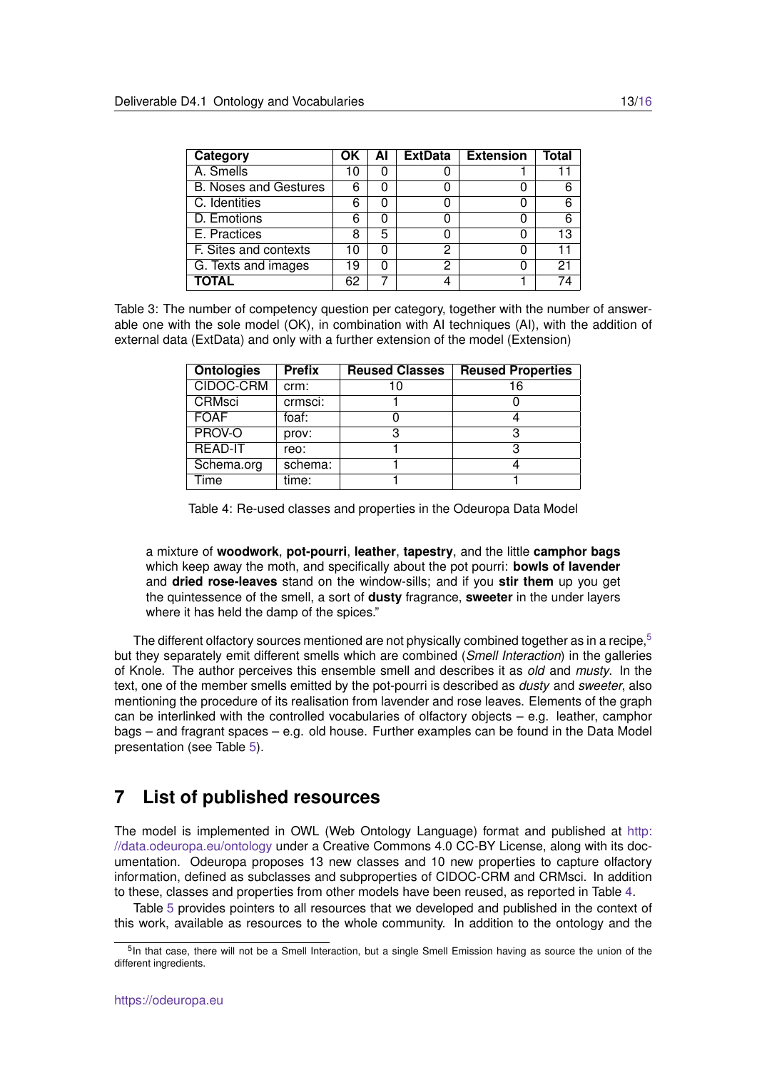| Category                     | OK | AI | <b>ExtData</b> | <b>Extension</b> | Total |
|------------------------------|----|----|----------------|------------------|-------|
| A. Smells                    | 10 |    |                |                  |       |
| <b>B. Noses and Gestures</b> | 6  |    |                |                  | 6     |
| C. Identities                | 6  |    |                |                  | 6     |
| D. Emotions                  | 6  |    |                |                  | 6     |
| E. Practices                 | 8  | 5  |                |                  | 13    |
| F. Sites and contexts        | 10 | U  | 2              |                  | 11    |
| G. Texts and images          | 19 |    | 2              |                  | 21    |
| TOTAL                        | 62 |    |                |                  | 7Δ    |

<span id="page-12-1"></span>Table 3: The number of competency question per category, together with the number of answerable one with the sole model (OK), in combination with AI techniques (AI), with the addition of external data (ExtData) and only with a further extension of the model (Extension)

| <b>Ontologies</b> | <b>Prefix</b> | <b>Reused Classes</b> | <b>Reused Properties</b> |
|-------------------|---------------|-----------------------|--------------------------|
| CIDOC-CRM         | crm:          | 10                    | 16                       |
| CRMsci            | crmsci:       |                       |                          |
| <b>FOAF</b>       | foaf:         |                       |                          |
| PROV-O            | prov:         | З                     | З                        |
| <b>READ-IT</b>    | reo:          |                       | З                        |
| Schema.org        | schema:       |                       |                          |
| Time              | time:         |                       |                          |

<span id="page-12-3"></span>Table 4: Re-used classes and properties in the Odeuropa Data Model

a mixture of **woodwork**, **pot-pourri**, **leather**, **tapestry**, and the little **camphor bags** which keep away the moth, and specifically about the pot pourri: **bowls of lavender** and **dried rose-leaves** stand on the window-sills; and if you **stir them** up you get the quintessence of the smell, a sort of **dusty** fragrance, **sweeter** in the under layers where it has held the damp of the spices."

The different olfactory sources mentioned are not physically combined together as in a recipe,<sup>[5](#page-12-2)</sup> but they separately emit different smells which are combined (*Smell Interaction*) in the galleries of Knole. The author perceives this ensemble smell and describes it as *old* and *musty*. In the text, one of the member smells emitted by the pot-pourri is described as *dusty* and *sweeter*, also mentioning the procedure of its realisation from lavender and rose leaves. Elements of the graph can be interlinked with the controlled vocabularies of olfactory objects – e.g. leather, camphor bags – and fragrant spaces – e.g. old house. Further examples can be found in the Data Model presentation (see Table [5\)](#page-14-12).

# <span id="page-12-0"></span>**7 List of published resources**

The model is implemented in OWL (Web Ontology Language) format and published at [http:](http://data.odeuropa.eu/ontology) [//data.odeuropa.eu/ontology](http://data.odeuropa.eu/ontology) under a Creative Commons 4.0 CC-BY License, along with its documentation. Odeuropa proposes 13 new classes and 10 new properties to capture olfactory information, defined as subclasses and subproperties of CIDOC-CRM and CRMsci. In addition to these, classes and properties from other models have been reused, as reported in Table [4.](#page-12-3)

Table [5](#page-14-12) provides pointers to all resources that we developed and published in the context of this work, available as resources to the whole community. In addition to the ontology and the

<span id="page-12-2"></span><sup>&</sup>lt;sup>5</sup>In that case, there will not be a Smell Interaction, but a single Smell Emission having as source the union of the different ingredients.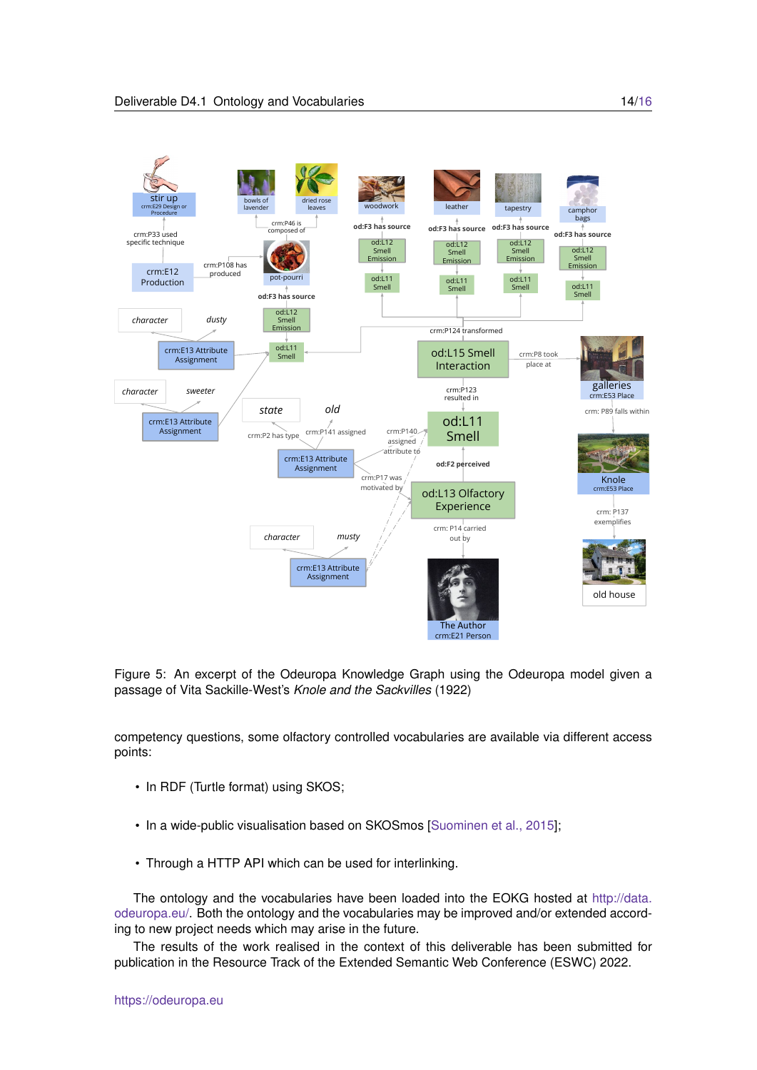

<span id="page-13-0"></span>Figure 5: An excerpt of the Odeuropa Knowledge Graph using the Odeuropa model given a passage of Vita Sackille-West's *Knole and the Sackvilles* (1922)

competency questions, some olfactory controlled vocabularies are available via different access points:

- In RDF (Turtle format) using SKOS;
- In a wide-public visualisation based on SKOSmos [\[Suominen et al., 2015\]](#page-15-10);
- Through a HTTP API which can be used for interlinking.

The ontology and the vocabularies have been loaded into the EOKG hosted at [http://data.](http://data.odeuropa.eu/) [odeuropa.eu/.](http://data.odeuropa.eu/) Both the ontology and the vocabularies may be improved and/or extended according to new project needs which may arise in the future.

The results of the work realised in the context of this deliverable has been submitted for publication in the Resource Track of the Extended Semantic Web Conference (ESWC) 2022.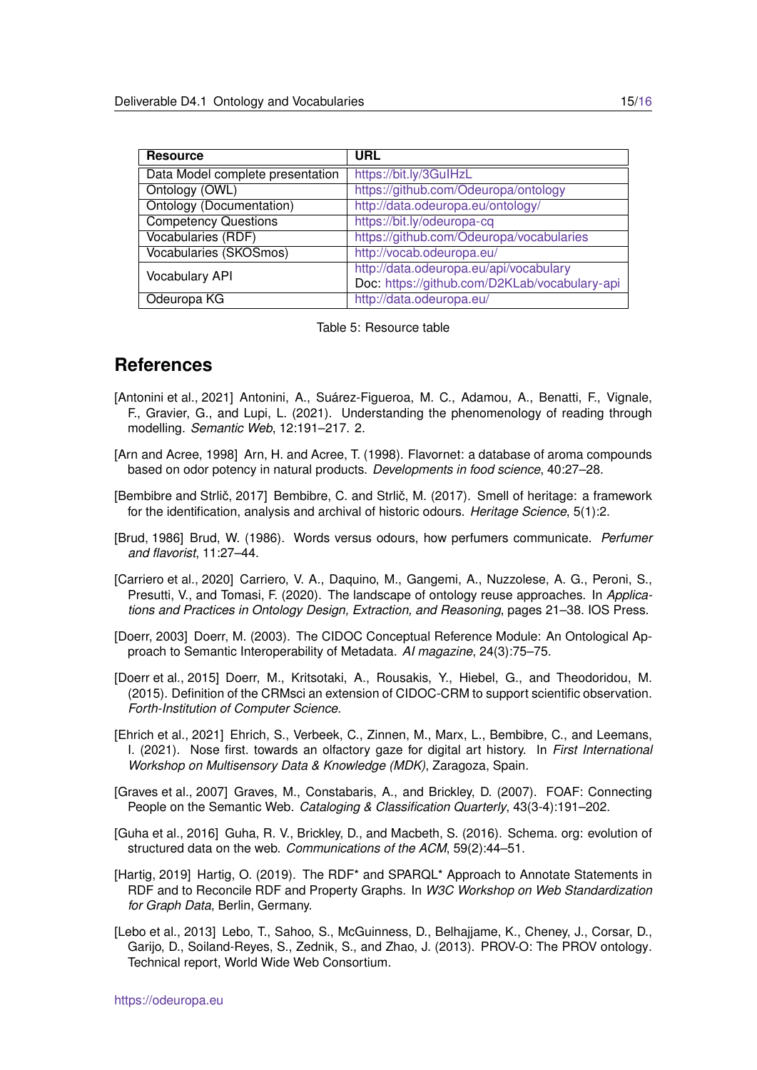| <b>Resource</b>                  | URL                                           |
|----------------------------------|-----------------------------------------------|
| Data Model complete presentation | https://bit.ly/3GulHzL                        |
| Ontology (OWL)                   | https://github.com/Odeuropa/ontology          |
| <b>Ontology (Documentation)</b>  | http://data.odeuropa.eu/ontology/             |
| <b>Competency Questions</b>      | https://bit.ly/odeuropa-cq                    |
| Vocabularies (RDF)               | https://github.com/Odeuropa/vocabularies      |
| Vocabularies (SKOSmos)           | http://vocab.odeuropa.eu/                     |
| <b>Vocabulary API</b>            | http://data.odeuropa.eu/api/vocabulary        |
|                                  | Doc: https://github.com/D2KLab/vocabulary-api |
| Odeuropa KG                      | http://data.odeuropa.eu/                      |

#### <span id="page-14-12"></span>Table 5: Resource table

### **References**

- <span id="page-14-3"></span>[Antonini et al., 2021] Antonini, A., Suárez-Figueroa, M. C., Adamou, A., Benatti, F., Vignale, F., Gravier, G., and Lupi, L. (2021). Understanding the phenomenology of reading through modelling. *Semantic Web*, 12:191–217. 2.
- <span id="page-14-11"></span>[Arn and Acree, 1998] Arn, H. and Acree, T. (1998). Flavornet: a database of aroma compounds based on odor potency in natural products. *Developments in food science*, 40:27–28.
- <span id="page-14-9"></span>[Bembibre and Strlič, 2017] Bembibre, C. and Strlič, M. (2017). Smell of heritage: a framework for the identification, analysis and archival of historic odours. *Heritage Science*, 5(1):2.
- <span id="page-14-8"></span>[Brud, 1986] Brud, W. (1986). Words versus odours, how perfumers communicate. *Perfumer and flavorist*, 11:27–44.
- <span id="page-14-1"></span>[Carriero et al., 2020] Carriero, V. A., Daquino, M., Gangemi, A., Nuzzolese, A. G., Peroni, S., Presutti, V., and Tomasi, F. (2020). The landscape of ontology reuse approaches. In *Applications and Practices in Ontology Design, Extraction, and Reasoning*, pages 21–38. IOS Press.
- <span id="page-14-0"></span>[Doerr, 2003] Doerr, M. (2003). The CIDOC Conceptual Reference Module: An Ontological Approach to Semantic Interoperability of Metadata. *AI magazine*, 24(3):75–75.
- <span id="page-14-2"></span>[Doerr et al., 2015] Doerr, M., Kritsotaki, A., Rousakis, Y., Hiebel, G., and Theodoridou, M. (2015). Definition of the CRMsci an extension of CIDOC-CRM to support scientific observation. *Forth-Institution of Computer Science*.
- <span id="page-14-10"></span>[Ehrich et al., 2021] Ehrich, S., Verbeek, C., Zinnen, M., Marx, L., Bembibre, C., and Leemans, I. (2021). Nose first. towards an olfactory gaze for digital art history. In *First International Workshop on Multisensory Data & Knowledge (MDK)*, Zaragoza, Spain.
- <span id="page-14-5"></span>[Graves et al., 2007] Graves, M., Constabaris, A., and Brickley, D. (2007). FOAF: Connecting People on the Semantic Web. *Cataloging & Classification Quarterly*, 43(3-4):191–202.
- <span id="page-14-6"></span>[Guha et al., 2016] Guha, R. V., Brickley, D., and Macbeth, S. (2016). Schema. org: evolution of structured data on the web. *Communications of the ACM*, 59(2):44–51.
- <span id="page-14-7"></span>[Hartig, 2019] Hartig, O. (2019). The RDF\* and SPARQL\* Approach to Annotate Statements in RDF and to Reconcile RDF and Property Graphs. In *W3C Workshop on Web Standardization for Graph Data*, Berlin, Germany.
- <span id="page-14-4"></span>[Lebo et al., 2013] Lebo, T., Sahoo, S., McGuinness, D., Belhajjame, K., Cheney, J., Corsar, D., Garijo, D., Soiland-Reyes, S., Zednik, S., and Zhao, J. (2013). PROV-O: The PROV ontology. Technical report, World Wide Web Consortium.